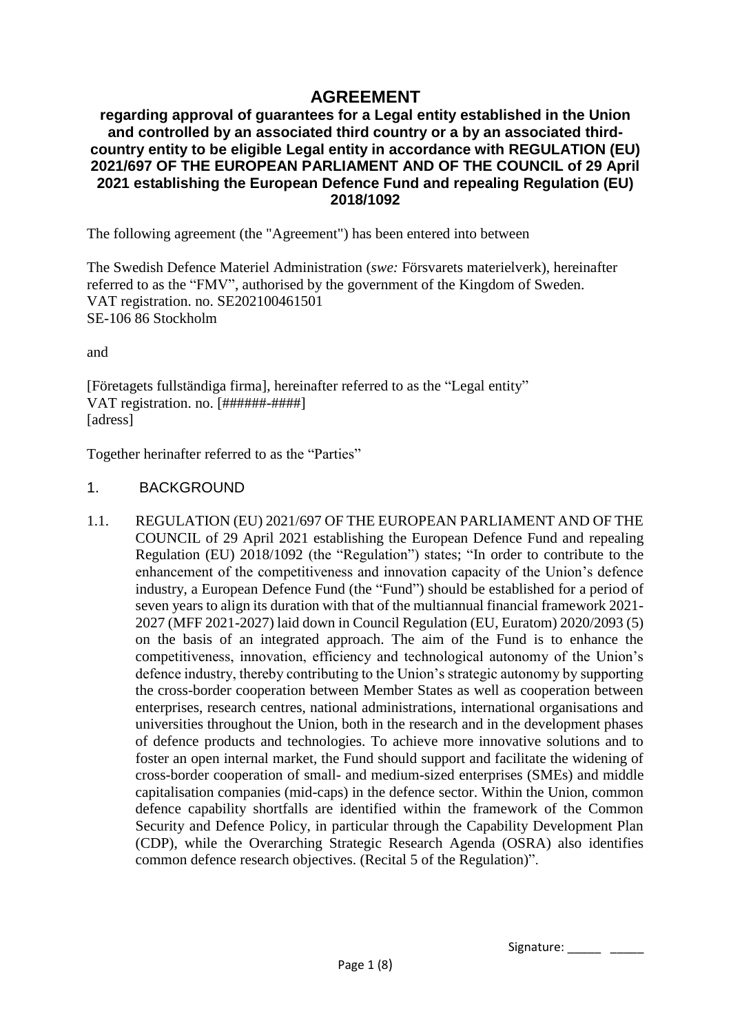# **AGREEMENT**

#### **regarding approval of guarantees for a Legal entity established in the Union and controlled by an associated third country or a by an associated thirdcountry entity to be eligible Legal entity in accordance with REGULATION (EU) 2021/697 OF THE EUROPEAN PARLIAMENT AND OF THE COUNCIL of 29 April 2021 establishing the European Defence Fund and repealing Regulation (EU) 2018/1092**

The following agreement (the "Agreement") has been entered into between

The Swedish Defence Materiel Administration (*swe:* Försvarets materielverk), hereinafter referred to as the "FMV", authorised by the government of the Kingdom of Sweden. VAT registration. no. SE202100461501 SE-106 86 Stockholm

and

[Företagets fullständiga firma], hereinafter referred to as the "Legal entity" VAT registration. no. [######-####] [adress]

Together herinafter referred to as the "Parties"

#### 1. BACKGROUND

1.1. REGULATION (EU) 2021/697 OF THE EUROPEAN PARLIAMENT AND OF THE COUNCIL of 29 April 2021 establishing the European Defence Fund and repealing Regulation (EU) 2018/1092 (the "Regulation") states; "In order to contribute to the enhancement of the competitiveness and innovation capacity of the Union's defence industry, a European Defence Fund (the "Fund") should be established for a period of seven years to align its duration with that of the multiannual financial framework 2021- 2027 (MFF 2021-2027) laid down in Council Regulation (EU, Euratom) 2020/2093 (5) on the basis of an integrated approach. The aim of the Fund is to enhance the competitiveness, innovation, efficiency and technological autonomy of the Union's defence industry, thereby contributing to the Union's strategic autonomy by supporting the cross-border cooperation between Member States as well as cooperation between enterprises, research centres, national administrations, international organisations and universities throughout the Union, both in the research and in the development phases of defence products and technologies. To achieve more innovative solutions and to foster an open internal market, the Fund should support and facilitate the widening of cross-border cooperation of small- and medium-sized enterprises (SMEs) and middle capitalisation companies (mid-caps) in the defence sector. Within the Union, common defence capability shortfalls are identified within the framework of the Common Security and Defence Policy, in particular through the Capability Development Plan (CDP), while the Overarching Strategic Research Agenda (OSRA) also identifies common defence research objectives. (Recital 5 of the Regulation)".

Signature: \_\_\_\_\_ \_\_\_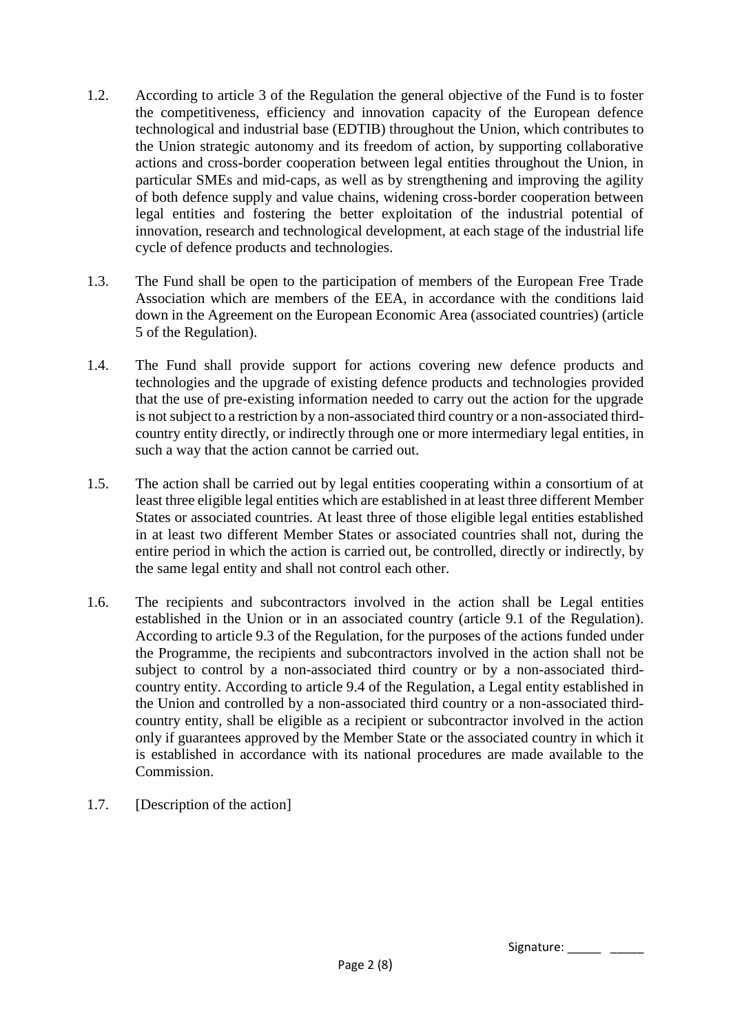- 1.2. According to article 3 of the Regulation the general objective of the Fund is to foster the competitiveness, efficiency and innovation capacity of the European defence technological and industrial base (EDTIB) throughout the Union, which contributes to the Union strategic autonomy and its freedom of action, by supporting collaborative actions and cross-border cooperation between legal entities throughout the Union, in particular SMEs and mid-caps, as well as by strengthening and improving the agility of both defence supply and value chains, widening cross-border cooperation between legal entities and fostering the better exploitation of the industrial potential of innovation, research and technological development, at each stage of the industrial life cycle of defence products and technologies.
- 1.3. The Fund shall be open to the participation of members of the European Free Trade Association which are members of the EEA, in accordance with the conditions laid down in the Agreement on the European Economic Area (associated countries) (article 5 of the Regulation).
- 1.4. The Fund shall provide support for actions covering new defence products and technologies and the upgrade of existing defence products and technologies provided that the use of pre-existing information needed to carry out the action for the upgrade is not subject to a restriction by a non-associated third country or a non-associated thirdcountry entity directly, or indirectly through one or more intermediary legal entities, in such a way that the action cannot be carried out.
- 1.5. The action shall be carried out by legal entities cooperating within a consortium of at least three eligible legal entities which are established in at least three different Member States or associated countries. At least three of those eligible legal entities established in at least two different Member States or associated countries shall not, during the entire period in which the action is carried out, be controlled, directly or indirectly, by the same legal entity and shall not control each other.
- 1.6. The recipients and subcontractors involved in the action shall be Legal entities established in the Union or in an associated country (article 9.1 of the Regulation). According to article 9.3 of the Regulation, for the purposes of the actions funded under the Programme, the recipients and subcontractors involved in the action shall not be subject to control by a non-associated third country or by a non-associated thirdcountry entity. According to article 9.4 of the Regulation, a Legal entity established in the Union and controlled by a non-associated third country or a non-associated thirdcountry entity, shall be eligible as a recipient or subcontractor involved in the action only if guarantees approved by the Member State or the associated country in which it is established in accordance with its national procedures are made available to the Commission.
- 1.7. [Description of the action]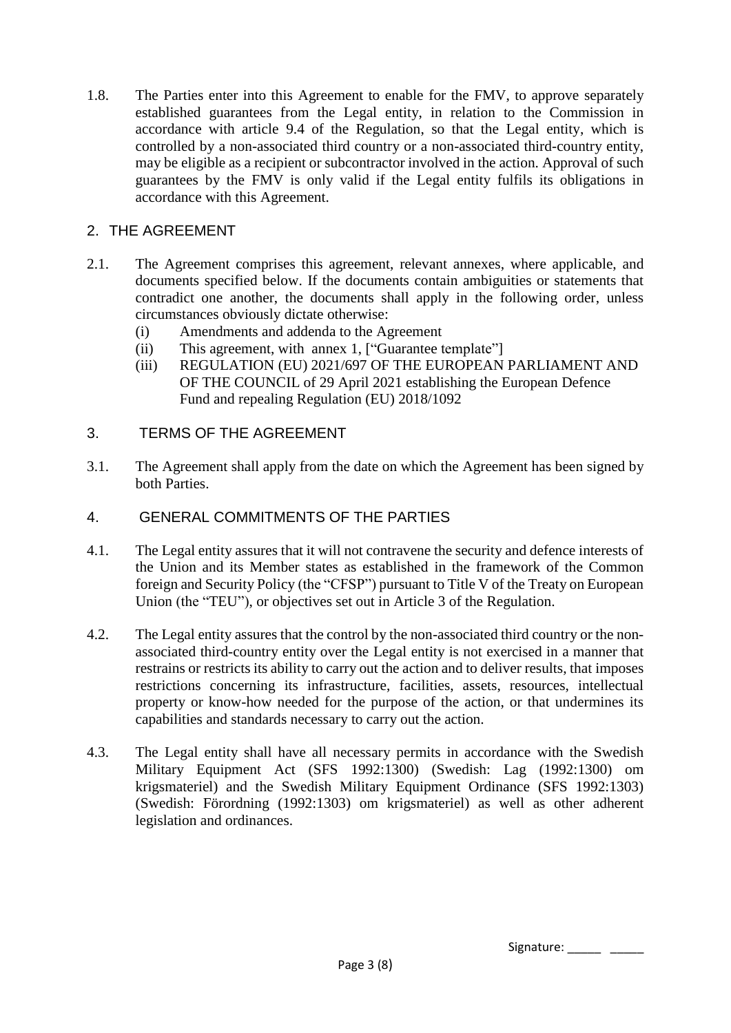1.8. The Parties enter into this Agreement to enable for the FMV, to approve separately established guarantees from the Legal entity, in relation to the Commission in accordance with article 9.4 of the Regulation, so that the Legal entity, which is controlled by a non-associated third country or a non-associated third-country entity, may be eligible as a recipient or subcontractor involved in the action. Approval of such guarantees by the FMV is only valid if the Legal entity fulfils its obligations in accordance with this Agreement.

# 2. THE AGREEMENT

- 2.1. The Agreement comprises this agreement, relevant annexes, where applicable, and documents specified below. If the documents contain ambiguities or statements that contradict one another, the documents shall apply in the following order, unless circumstances obviously dictate otherwise:
	- (i) Amendments and addenda to the Agreement
	- (ii) This agreement, with annex 1, ["Guarantee template"]
	- (iii) REGULATION (EU) 2021/697 OF THE EUROPEAN PARLIAMENT AND OF THE COUNCIL of 29 April 2021 establishing the European Defence Fund and repealing Regulation (EU) 2018/1092
- 3. TERMS OF THE AGREEMENT
- 3.1. The Agreement shall apply from the date on which the Agreement has been signed by both Parties.
- 4. GENERAL COMMITMENTS OF THE PARTIES
- 4.1. The Legal entity assures that it will not contravene the security and defence interests of the Union and its Member states as established in the framework of the Common foreign and Security Policy (the "CFSP") pursuant to Title V of the Treaty on European Union (the "TEU"), or objectives set out in Article 3 of the Regulation.
- 4.2. The Legal entity assures that the control by the non-associated third country or the nonassociated third-country entity over the Legal entity is not exercised in a manner that restrains or restricts its ability to carry out the action and to deliver results, that imposes restrictions concerning its infrastructure, facilities, assets, resources, intellectual property or know-how needed for the purpose of the action, or that undermines its capabilities and standards necessary to carry out the action.
- 4.3. The Legal entity shall have all necessary permits in accordance with the Swedish Military Equipment Act (SFS 1992:1300) (Swedish: Lag (1992:1300) om krigsmateriel) and the Swedish Military Equipment Ordinance (SFS 1992:1303) (Swedish: Förordning (1992:1303) om krigsmateriel) as well as other adherent legislation and ordinances.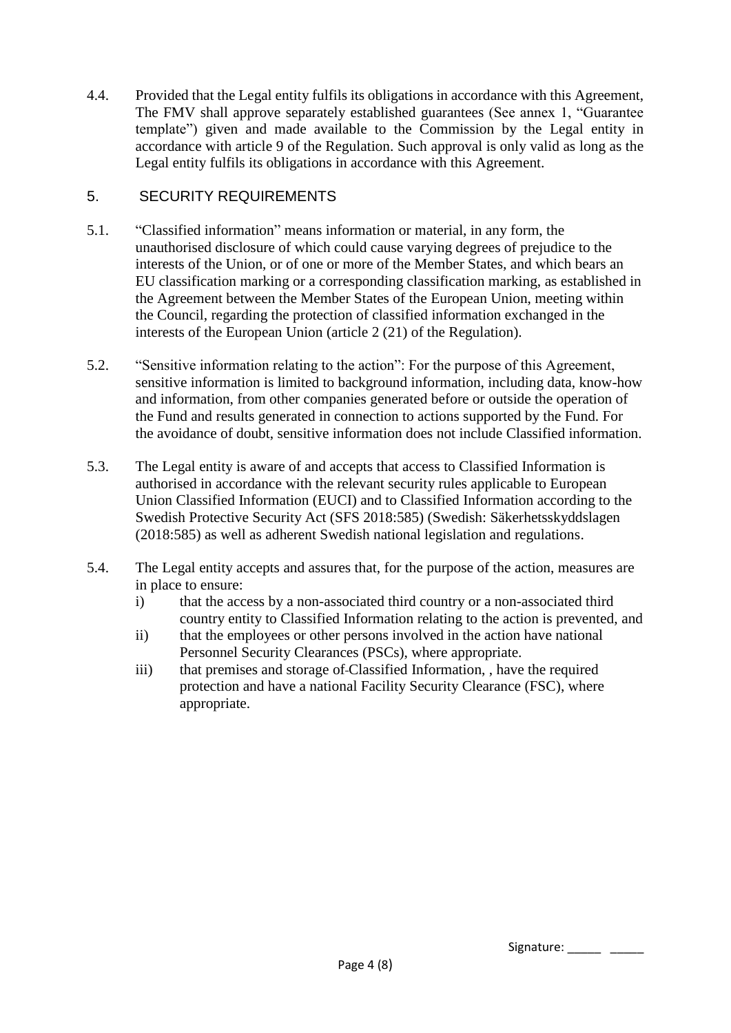4.4. Provided that the Legal entity fulfils its obligations in accordance with this Agreement, The FMV shall approve separately established guarantees (See annex 1, "Guarantee template") given and made available to the Commission by the Legal entity in accordance with article 9 of the Regulation. Such approval is only valid as long as the Legal entity fulfils its obligations in accordance with this Agreement.

## 5. SECURITY REQUIREMENTS

- 5.1. "Classified information" means information or material, in any form, the unauthorised disclosure of which could cause varying degrees of prejudice to the interests of the Union, or of one or more of the Member States, and which bears an EU classification marking or a corresponding classification marking, as established in the Agreement between the Member States of the European Union, meeting within the Council, regarding the protection of classified information exchanged in the interests of the European Union (article 2 (21) of the Regulation).
- 5.2. "Sensitive information relating to the action": For the purpose of this Agreement, sensitive information is limited to background information, including data, know-how and information, from other companies generated before or outside the operation of the Fund and results generated in connection to actions supported by the Fund. For the avoidance of doubt, sensitive information does not include Classified information.
- 5.3. The Legal entity is aware of and accepts that access to Classified Information is authorised in accordance with the relevant security rules applicable to European Union Classified Information (EUCI) and to Classified Information according to the Swedish Protective Security Act (SFS 2018:585) (Swedish: Säkerhetsskyddslagen (2018:585) as well as adherent Swedish national legislation and regulations.
- 5.4. The Legal entity accepts and assures that, for the purpose of the action, measures are in place to ensure:
	- i) that the access by a non-associated third country or a non-associated third country entity to Classified Information relating to the action is prevented, and
	- ii) that the employees or other persons involved in the action have national Personnel Security Clearances (PSCs), where appropriate.
	- iii) that premises and storage of Classified Information, , have the required protection and have a national Facility Security Clearance (FSC), where appropriate.

Signature: \_\_\_\_\_ \_\_\_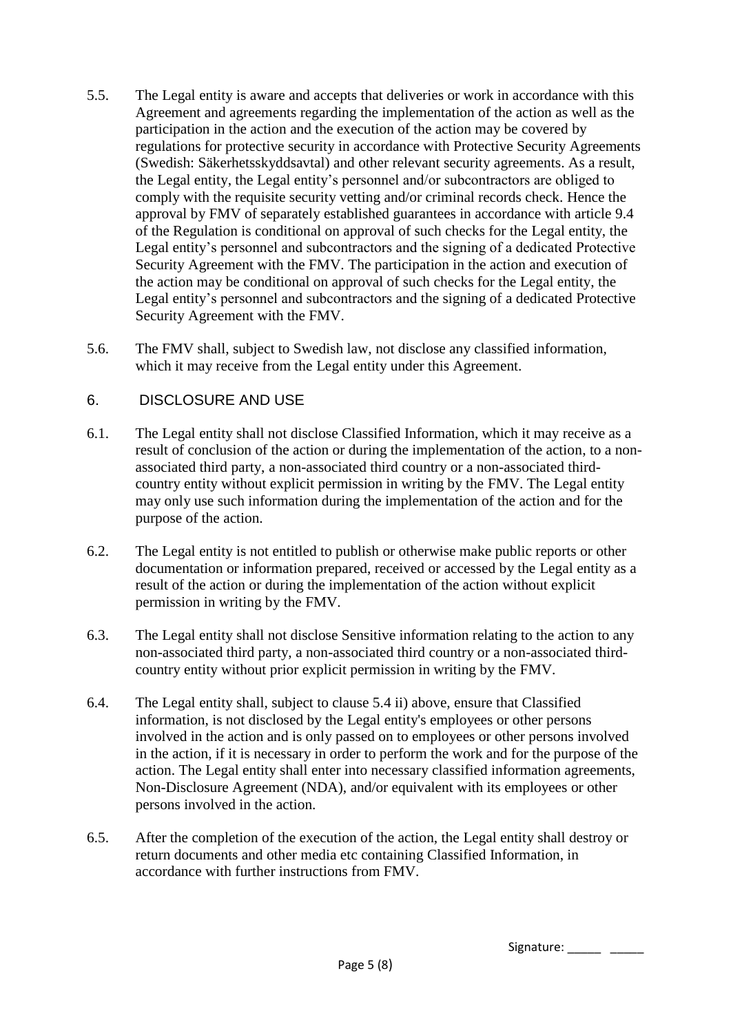- 5.5. The Legal entity is aware and accepts that deliveries or work in accordance with this Agreement and agreements regarding the implementation of the action as well as the participation in the action and the execution of the action may be covered by regulations for protective security in accordance with Protective Security Agreements (Swedish: Säkerhetsskyddsavtal) and other relevant security agreements. As a result, the Legal entity, the Legal entity's personnel and/or subcontractors are obliged to comply with the requisite security vetting and/or criminal records check. Hence the approval by FMV of separately established guarantees in accordance with article 9.4 of the Regulation is conditional on approval of such checks for the Legal entity, the Legal entity's personnel and subcontractors and the signing of a dedicated Protective Security Agreement with the FMV. The participation in the action and execution of the action may be conditional on approval of such checks for the Legal entity, the Legal entity's personnel and subcontractors and the signing of a dedicated Protective Security Agreement with the FMV.
- 5.6. The FMV shall, subject to Swedish law, not disclose any classified information, which it may receive from the Legal entity under this Agreement.

## 6. DISCLOSURE AND USE

- 6.1. The Legal entity shall not disclose Classified Information, which it may receive as a result of conclusion of the action or during the implementation of the action, to a nonassociated third party, a non-associated third country or a non-associated thirdcountry entity without explicit permission in writing by the FMV. The Legal entity may only use such information during the implementation of the action and for the purpose of the action.
- 6.2. The Legal entity is not entitled to publish or otherwise make public reports or other documentation or information prepared, received or accessed by the Legal entity as a result of the action or during the implementation of the action without explicit permission in writing by the FMV.
- 6.3. The Legal entity shall not disclose Sensitive information relating to the action to any non-associated third party, a non-associated third country or a non-associated thirdcountry entity without prior explicit permission in writing by the FMV.
- 6.4. The Legal entity shall, subject to clause 5.4 ii) above, ensure that Classified information, is not disclosed by the Legal entity's employees or other persons involved in the action and is only passed on to employees or other persons involved in the action, if it is necessary in order to perform the work and for the purpose of the action. The Legal entity shall enter into necessary classified information agreements, Non-Disclosure Agreement (NDA), and/or equivalent with its employees or other persons involved in the action.
- 6.5. After the completion of the execution of the action, the Legal entity shall destroy or return documents and other media etc containing Classified Information, in accordance with further instructions from FMV.

Signature: \_\_\_\_\_ \_\_\_\_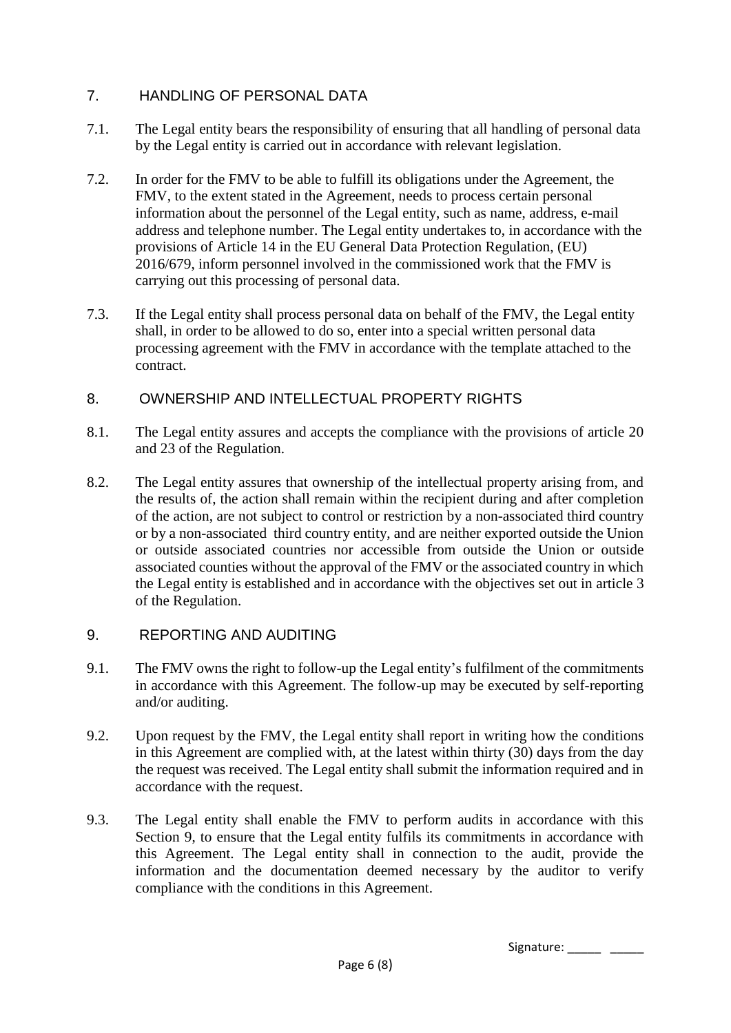# 7. HANDLING OF PERSONAL DATA

- 7.1. The Legal entity bears the responsibility of ensuring that all handling of personal data by the Legal entity is carried out in accordance with relevant legislation.
- 7.2. In order for the FMV to be able to fulfill its obligations under the Agreement, the FMV, to the extent stated in the Agreement, needs to process certain personal information about the personnel of the Legal entity, such as name, address, e-mail address and telephone number. The Legal entity undertakes to, in accordance with the provisions of Article 14 in the EU General Data Protection Regulation, (EU) 2016/679, inform personnel involved in the commissioned work that the FMV is carrying out this processing of personal data.
- 7.3. If the Legal entity shall process personal data on behalf of the FMV, the Legal entity shall, in order to be allowed to do so, enter into a special written personal data processing agreement with the FMV in accordance with the template attached to the contract.

## 8. OWNERSHIP AND INTELLECTUAL PROPERTY RIGHTS

- 8.1. The Legal entity assures and accepts the compliance with the provisions of article 20 and 23 of the Regulation.
- 8.2. The Legal entity assures that ownership of the intellectual property arising from, and the results of, the action shall remain within the recipient during and after completion of the action, are not subject to control or restriction by a non-associated third country or by a non-associated third country entity, and are neither exported outside the Union or outside associated countries nor accessible from outside the Union or outside associated counties without the approval of the FMV or the associated country in which the Legal entity is established and in accordance with the objectives set out in article 3 of the Regulation.

## 9. REPORTING AND AUDITING

- 9.1. The FMV owns the right to follow-up the Legal entity's fulfilment of the commitments in accordance with this Agreement. The follow-up may be executed by self-reporting and/or auditing.
- 9.2. Upon request by the FMV, the Legal entity shall report in writing how the conditions in this Agreement are complied with, at the latest within thirty (30) days from the day the request was received. The Legal entity shall submit the information required and in accordance with the request.
- 9.3. The Legal entity shall enable the FMV to perform audits in accordance with this Section 9, to ensure that the Legal entity fulfils its commitments in accordance with this Agreement. The Legal entity shall in connection to the audit, provide the information and the documentation deemed necessary by the auditor to verify compliance with the conditions in this Agreement.

Signature: \_\_\_\_\_ \_\_\_\_\_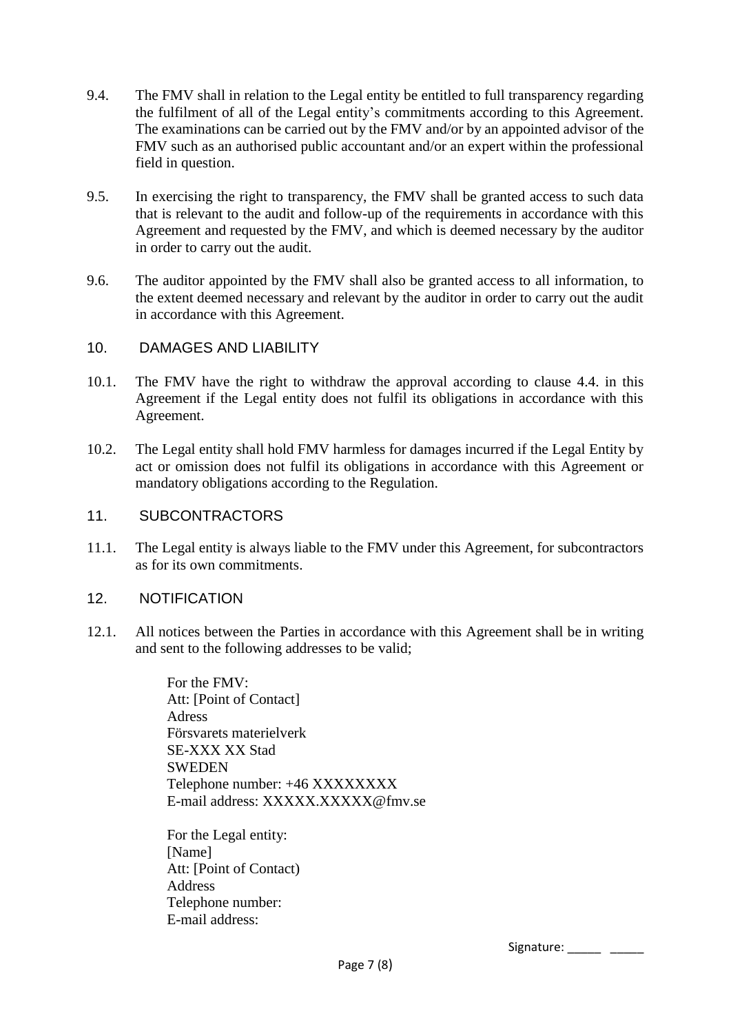- 9.4. The FMV shall in relation to the Legal entity be entitled to full transparency regarding the fulfilment of all of the Legal entity's commitments according to this Agreement. The examinations can be carried out by the FMV and/or by an appointed advisor of the FMV such as an authorised public accountant and/or an expert within the professional field in question.
- 9.5. In exercising the right to transparency, the FMV shall be granted access to such data that is relevant to the audit and follow-up of the requirements in accordance with this Agreement and requested by the FMV, and which is deemed necessary by the auditor in order to carry out the audit.
- 9.6. The auditor appointed by the FMV shall also be granted access to all information, to the extent deemed necessary and relevant by the auditor in order to carry out the audit in accordance with this Agreement.

#### 10. DAMAGES AND LIABILITY

- 10.1. The FMV have the right to withdraw the approval according to clause 4.4. in this Agreement if the Legal entity does not fulfil its obligations in accordance with this Agreement.
- 10.2. The Legal entity shall hold FMV harmless for damages incurred if the Legal Entity by act or omission does not fulfil its obligations in accordance with this Agreement or mandatory obligations according to the Regulation.

#### 11. SUBCONTRACTORS

11.1. The Legal entity is always liable to the FMV under this Agreement, for subcontractors as for its own commitments.

#### 12. NOTIFICATION

12.1. All notices between the Parties in accordance with this Agreement shall be in writing and sent to the following addresses to be valid;

> For the FMV: Att: [Point of Contact] Adress Försvarets materielverk SE-XXX XX Stad **SWEDEN** Telephone number: +46 XXXXXXXX E-mail address: XXXXX.XXXXX@fmv.se

For the Legal entity: [Name] Att: [Point of Contact) **Address** Telephone number: E-mail address:

Signature: \_\_\_\_\_ \_\_\_\_